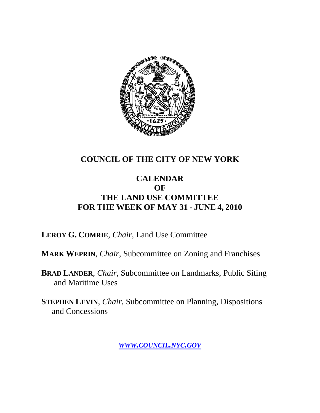

#### **COUNCIL OF THE CITY OF NEW YORK**

#### **CALENDAR OF THE LAND USE COMMITTEE FOR THE WEEK OF MAY 31 - JUNE 4, 2010**

**LEROY G. COMRIE**, *Chair*, Land Use Committee

**MARK WEPRIN**, *Chair*, Subcommittee on Zoning and Franchises

**BRAD LANDER**, *Chair*, Subcommittee on Landmarks, Public Siting and Maritime Uses

**STEPHEN LEVIN**, *Chair,* Subcommittee on Planning, Dispositions and Concessions

*WWW.COUNCIL.NYC.GOV*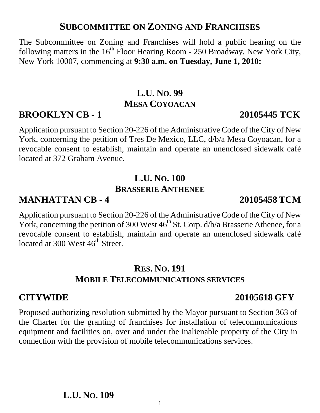#### **SUBCOMMITTEE ON ZONING AND FRANCHISES**

The Subcommittee on Zoning and Franchises will hold a public hearing on the following matters in the  $16<sup>th</sup>$  Floor Hearing Room - 250 Broadway, New York City, New York 10007, commencing at **9:30 a.m. on Tuesday, June 1, 2010:** 

# **L.U. NO. 99 MESA COYOACAN**

# **BROOKLYN CB - 1 20105445 TCK**

Application pursuant to Section 20-226 of the Administrative Code of the City of New York, concerning the petition of Tres De Mexico, LLC, d/b/a Mesa Coyoacan, for a revocable consent to establish, maintain and operate an unenclosed sidewalk café located at 372 Graham Avenue.

# **L.U. NO. 100 BRASSERIE ANTHENEE**

### **MANHATTAN CB - 4 20105458 TCM**

Application pursuant to Section 20-226 of the Administrative Code of the City of New York, concerning the petition of 300 West  $46<sup>th</sup>$  St. Corp.  $d/b/a$  Brasserie Athenee, for a revocable consent to establish, maintain and operate an unenclosed sidewalk café located at 300 West 46<sup>th</sup> Street.

#### **RES. NO. 191 MOBILE TELECOMMUNICATIONS SERVICES**

### **CITYWIDE 20105618 GFY**

Proposed authorizing resolution submitted by the Mayor pursuant to Section 363 of the Charter for the granting of franchises for installation of telecommunications equipment and facilities on, over and under the inalienable property of the City in connection with the provision of mobile telecommunications services.

1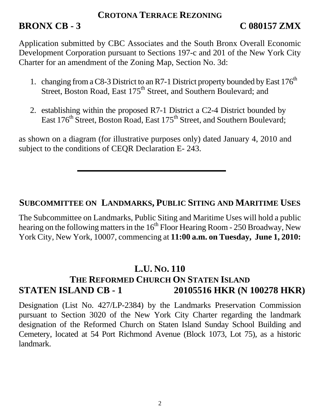#### **CROTONA TERRACE REZONING**

# **BRONX CB - 3** C 080157 ZMX

Application submitted by CBC Associates and the South Bronx Overall Economic Development Corporation pursuant to Sections 197-c and 201 of the New York City Charter for an amendment of the Zoning Map, Section No. 3d:

- 1. changing from a C8-3 District to an R7-1 District property bounded by East  $176<sup>th</sup>$ Street, Boston Road, East 175<sup>th</sup> Street, and Southern Boulevard; and
- 2. establishing within the proposed R7-1 District a C2-4 District bounded by East 176<sup>th</sup> Street, Boston Road, East 175<sup>th</sup> Street, and Southern Boulevard;

as shown on a diagram (for illustrative purposes only) dated January 4, 2010 and subject to the conditions of CEQR Declaration E- 243.

#### **SUBCOMMITTEE ON LANDMARKS, PUBLIC SITING AND MARITIME USES**

The Subcommittee on Landmarks, Public Siting and Maritime Uses will hold a public hearing on the following matters in the  $16<sup>th</sup>$  Floor Hearing Room - 250 Broadway, New York City, New York, 10007, commencing at **11:00 a.m. on Tuesday, June 1, 2010:**

### **L.U. NO. 110**

# **THE REFORMED CHURCH ON STATEN ISLAND STATEN ISLAND CB - 1** 20105516 HKR (N 100278 HKR)

Designation (List No. 427/LP-2384) by the Landmarks Preservation Commission pursuant to Section 3020 of the New York City Charter regarding the landmark designation of the Reformed Church on Staten Island Sunday School Building and Cemetery, located at 54 Port Richmond Avenue (Block 1073, Lot 75), as a historic landmark.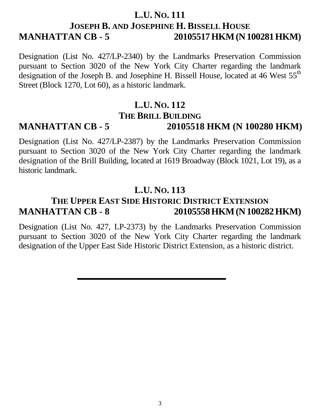#### **L.U. NO. 111 JOSEPH B. AND JOSEPHINE H. BISSELL HOUSE MANHATTAN CB - 5 20105517 HKM (N 100281 HKM)**

Designation (List No. 427/LP-2340) by the Landmarks Preservation Commission pursuant to Section 3020 of the New York City Charter regarding the landmark designation of the Joseph B. and Josephine H. Bissell House, located at 46 West 55<sup>th</sup> Street (Block 1270, Lot 60), as a historic landmark.

# **L.U. NO. 112 THE BRILL BUILDING**

# **MANHATTAN CB - 5 20105518 HKM (N 100280 HKM)**

Designation (List No. 427/LP-2387) by the Landmarks Preservation Commission pursuant to Section 3020 of the New York City Charter regarding the landmark designation of the Brill Building, located at 1619 Broadway (Block 1021, Lot 19), as a historic landmark.

#### **L.U. NO. 113**

## **THE UPPER EAST SIDE HISTORIC DISTRICT EXTENSION MANHATTAN CB - 8 20105558 HKM (N 100282 HKM)**

Designation (List No. 427, LP-2373) by the Landmarks Preservation Commission pursuant to Section 3020 of the New York City Charter regarding the landmark designation of the Upper East Side Historic District Extension, as a historic district.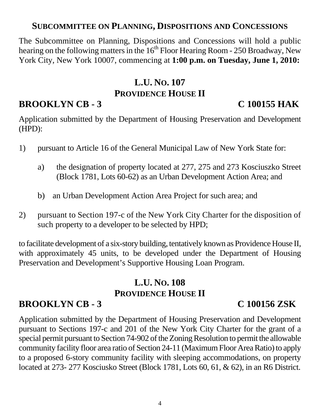#### **SUBCOMMITTEE ON PLANNING, DISPOSITIONS AND CONCESSIONS**

The Subcommittee on Planning, Dispositions and Concessions will hold a public hearing on the following matters in the 16<sup>th</sup> Floor Hearing Room - 250 Broadway, New York City, New York 10007, commencing at **1:00 p.m. on Tuesday, June 1, 2010:** 

### **L.U. NO. 107 PROVIDENCE HOUSE II**

# **BROOKLYN CB - 3** C 100155 HAK

Application submitted by the Department of Housing Preservation and Development (HPD):

- 1) pursuant to Article 16 of the General Municipal Law of New York State for:
	- a) the designation of property located at 277, 275 and 273 Kosciuszko Street (Block 1781, Lots 60-62) as an Urban Development Action Area; and
	- b) an Urban Development Action Area Project for such area; and
- 2) pursuant to Section 197-c of the New York City Charter for the disposition of such property to a developer to be selected by HPD;

to facilitate development of a six-story building, tentatively known as Providence House II, with approximately 45 units, to be developed under the Department of Housing Preservation and Development's Supportive Housing Loan Program.

### **L.U. NO. 108 PROVIDENCE HOUSE II**

# **BROOKLYN CB - 3 C 100156 ZSK**

Application submitted by the Department of Housing Preservation and Development pursuant to Sections 197-c and 201 of the New York City Charter for the grant of a special permit pursuant to Section 74-902 of the Zoning Resolution to permit the allowable community facility floor area ratio of Section 24-11 (Maximum Floor Area Ratio) to apply to a proposed 6-story community facility with sleeping accommodations, on property located at 273- 277 Kosciusko Street (Block 1781, Lots 60, 61, & 62), in an R6 District.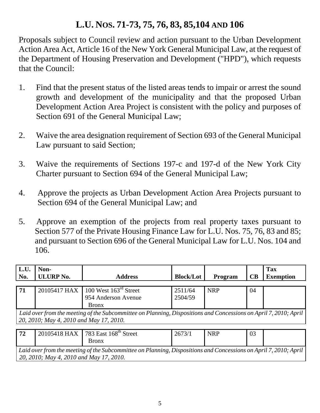# **L.U. NOS. 71-73, 75, 76, 83, 85,104 AND 106**

Proposals subject to Council review and action pursuant to the Urban Development Action Area Act, Article 16 of the New York General Municipal Law, at the request of the Department of Housing Preservation and Development ("HPD"), which requests that the Council:

- 1. Find that the present status of the listed areas tends to impair or arrest the sound growth and development of the municipality and that the proposed Urban Development Action Area Project is consistent with the policy and purposes of Section 691 of the General Municipal Law;
- 2. Waive the area designation requirement of Section 693 of the General Municipal Law pursuant to said Section;
- 3. Waive the requirements of Sections 197-c and 197-d of the New York City Charter pursuant to Section 694 of the General Municipal Law;
- 4. Approve the projects as Urban Development Action Area Projects pursuant to Section 694 of the General Municipal Law; and
- 5. Approve an exemption of the projects from real property taxes pursuant to Section 577 of the Private Housing Finance Law for L.U. Nos. 75, 76, 83 and 85; and pursuant to Section 696 of the General Municipal Law for L.U. Nos. 104 and 106.

| L.U.<br>No.                                                                                                                                                 | Non-<br><b>ULURP No.</b> | <b>Address</b>                                                                        | <b>Block/Lot</b>   | Program    | CB | <b>Tax</b><br><b>Exemption</b> |  |  |
|-------------------------------------------------------------------------------------------------------------------------------------------------------------|--------------------------|---------------------------------------------------------------------------------------|--------------------|------------|----|--------------------------------|--|--|
|                                                                                                                                                             |                          |                                                                                       |                    |            |    |                                |  |  |
| 71                                                                                                                                                          |                          | 20105417 HAX 100 West 163 <sup>rd</sup> Street<br>954 Anderson Avenue<br><b>Bronx</b> | 2511/64<br>2504/59 | <b>NRP</b> | 04 |                                |  |  |
| Laid over from the meeting of the Subcommittee on Planning, Dispositions and Concessions on April 7, 2010; April<br>20, 2010; May 4, 2010 and May 17, 2010. |                          |                                                                                       |                    |            |    |                                |  |  |
| 72                                                                                                                                                          |                          | 20105418 HAX 783 East 168 <sup>th</sup> Street                                        | 2673/1             | <b>NRP</b> | 03 |                                |  |  |

*Laid over from the meeting of the Subcommittee on Planning, Dispositions and Concessions on April 7, 2010; April 20, 2010; May 4, 2010 and May 17, 2010.*

Bronx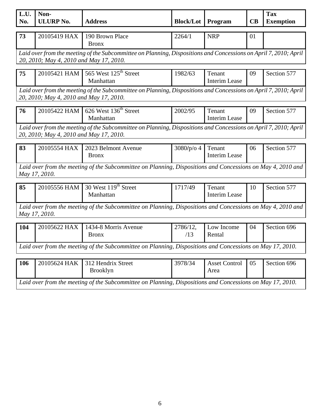| L.U.<br>No.                                                                                                                                                 | Non-<br><b>ULURP No.</b> | <b>Address</b>                                                                                              | <b>Block/Lot</b> | Program                        | CB | <b>Tax</b><br><b>Exemption</b> |  |
|-------------------------------------------------------------------------------------------------------------------------------------------------------------|--------------------------|-------------------------------------------------------------------------------------------------------------|------------------|--------------------------------|----|--------------------------------|--|
| 73                                                                                                                                                          | 20105419 HAX             | 190 Brown Place<br><b>Bronx</b>                                                                             | 2264/1           | <b>NRP</b>                     | 01 |                                |  |
| Laid over from the meeting of the Subcommittee on Planning, Dispositions and Concessions on April 7, 2010; April<br>20, 2010; May 4, 2010 and May 17, 2010. |                          |                                                                                                             |                  |                                |    |                                |  |
| 75                                                                                                                                                          | 20105421 HAM             | 565 West 125 <sup>th</sup> Street<br>Manhattan                                                              | 1982/63          | Tenant<br><b>Interim Lease</b> | 09 | Section 577                    |  |
| Laid over from the meeting of the Subcommittee on Planning, Dispositions and Concessions on April 7, 2010; April<br>20, 2010; May 4, 2010 and May 17, 2010. |                          |                                                                                                             |                  |                                |    |                                |  |
| 76                                                                                                                                                          | 20105422 HAM             | 626 West 136 <sup>th</sup> Street<br>Manhattan                                                              | 2002/95          | Tenant<br><b>Interim Lease</b> | 09 | Section 577                    |  |
| Laid over from the meeting of the Subcommittee on Planning, Dispositions and Concessions on April 7, 2010; April<br>20, 2010; May 4, 2010 and May 17, 2010. |                          |                                                                                                             |                  |                                |    |                                |  |
| 83                                                                                                                                                          | 20105554 HAX             | 2023 Belmont Avenue<br><b>Bronx</b>                                                                         | 3080/p/o 4       | Tenant<br><b>Interim Lease</b> | 06 | Section 577                    |  |
|                                                                                                                                                             | May 17, 2010.            | Laid over from the meeting of the Subcommittee on Planning, Dispositions and Concessions on May 4, 2010 and |                  |                                |    |                                |  |
| 85                                                                                                                                                          | 20105556 HAM             | 30 West 119 <sup>th</sup> Street<br>Manhattan                                                               | 1717/49          | Tenant<br><b>Interim Lease</b> | 10 | Section 577                    |  |
| Laid over from the meeting of the Subcommittee on Planning, Dispositions and Concessions on May 4, 2010 and<br>May 17, 2010.                                |                          |                                                                                                             |                  |                                |    |                                |  |
| 104                                                                                                                                                         | 20105622 HAX             | 1434-8 Morris Avenue<br><b>Bronx</b>                                                                        | 2786/12,<br>/13  | Low Income<br>Rental           | 04 | Section 696                    |  |
|                                                                                                                                                             |                          | Laid over from the meeting of the Subcommittee on Planning, Dispositions and Concessions on May 17, 2010.   |                  |                                |    |                                |  |
| 106                                                                                                                                                         | 20105624 HAK             | 312 Hendrix Street<br><b>Brooklyn</b>                                                                       | 3978/34          | <b>Asset Control</b><br>Area   | 05 | Section 696                    |  |
| Laid over from the meeting of the Subcommittee on Planning, Dispositions and Concessions on May 17, 2010.                                                   |                          |                                                                                                             |                  |                                |    |                                |  |